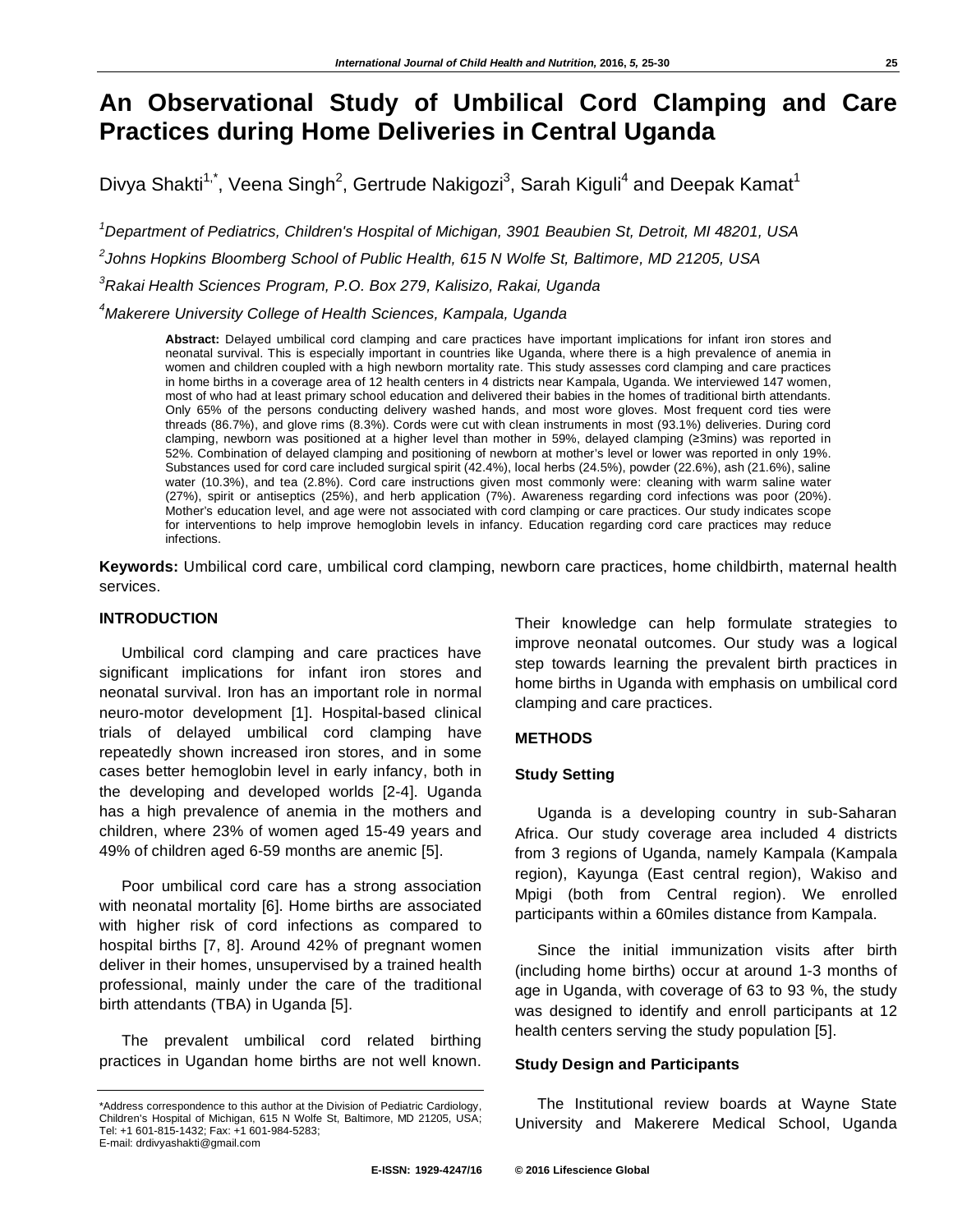# **An Observational Study of Umbilical Cord Clamping and Care Practices during Home Deliveries in Central Uganda**

Divya Shakti<sup>1,\*</sup>, Veena Singh<sup>2</sup>, Gertrude Nakigozi<sup>3</sup>, Sarah Kiguli<sup>4</sup> and Deepak Kamat<sup>1</sup>

*1 Department of Pediatrics, Children's Hospital of Michigan, 3901 Beaubien St, Detroit, MI 48201, USA 2 Johns Hopkins Bloomberg School of Public Health, 615 N Wolfe St, Baltimore, MD 21205, USA 3 Rakai Health Sciences Program, P.O. Box 279, Kalisizo, Rakai, Uganda* 

*4 Makerere University College of Health Sciences, Kampala, Uganda* 

**Abstract:** Delayed umbilical cord clamping and care practices have important implications for infant iron stores and neonatal survival. This is especially important in countries like Uganda, where there is a high prevalence of anemia in women and children coupled with a high newborn mortality rate. This study assesses cord clamping and care practices in home births in a coverage area of 12 health centers in 4 districts near Kampala, Uganda. We interviewed 147 women, most of who had at least primary school education and delivered their babies in the homes of traditional birth attendants. Only 65% of the persons conducting delivery washed hands, and most wore gloves. Most frequent cord ties were threads (86.7%), and glove rims (8.3%). Cords were cut with clean instruments in most (93.1%) deliveries. During cord clamping, newborn was positioned at a higher level than mother in 59%, delayed clamping (≥3mins) was reported in 52%. Combination of delayed clamping and positioning of newborn at mother's level or lower was reported in only 19%. Substances used for cord care included surgical spirit (42.4%), local herbs (24.5%), powder (22.6%), ash (21.6%), saline water (10.3%), and tea (2.8%). Cord care instructions given most commonly were: cleaning with warm saline water (27%), spirit or antiseptics (25%), and herb application (7%). Awareness regarding cord infections was poor (20%). Mother's education level, and age were not associated with cord clamping or care practices. Our study indicates scope for interventions to help improve hemoglobin levels in infancy. Education regarding cord care practices may reduce infections.

**Keywords:** Umbilical cord care, umbilical cord clamping, newborn care practices, home childbirth, maternal health services.

## **INTRODUCTION**

Umbilical cord clamping and care practices have significant implications for infant iron stores and neonatal survival. Iron has an important role in normal neuro-motor development [1]. Hospital-based clinical trials of delayed umbilical cord clamping have repeatedly shown increased iron stores, and in some cases better hemoglobin level in early infancy, both in the developing and developed worlds [2-4]. Uganda has a high prevalence of anemia in the mothers and children, where 23% of women aged 15-49 years and 49% of children aged 6-59 months are anemic [5].

Poor umbilical cord care has a strong association with neonatal mortality [6]. Home births are associated with higher risk of cord infections as compared to hospital births [7, 8]. Around 42% of pregnant women deliver in their homes, unsupervised by a trained health professional, mainly under the care of the traditional birth attendants (TBA) in Uganda [5].

The prevalent umbilical cord related birthing practices in Ugandan home births are not well known. Their knowledge can help formulate strategies to improve neonatal outcomes. Our study was a logical step towards learning the prevalent birth practices in home births in Uganda with emphasis on umbilical cord clamping and care practices.

#### **METHODS**

## **Study Setting**

Uganda is a developing country in sub-Saharan Africa. Our study coverage area included 4 districts from 3 regions of Uganda, namely Kampala (Kampala region), Kayunga (East central region), Wakiso and Mpigi (both from Central region). We enrolled participants within a 60miles distance from Kampala.

Since the initial immunization visits after birth (including home births) occur at around 1-3 months of age in Uganda, with coverage of 63 to 93 %, the study was designed to identify and enroll participants at 12 health centers serving the study population [5].

## **Study Design and Participants**

The Institutional review boards at Wayne State University and Makerere Medical School, Uganda

<sup>\*</sup>Address correspondence to this author at the Division of Pediatric Cardiology, Children's Hospital of Michigan, 615 N Wolfe St, Baltimore, MD 21205, USA; Tel: +1 601-815-1432; Fax: +1 601-984-5283; E-mail: drdivyashakti@gmail.com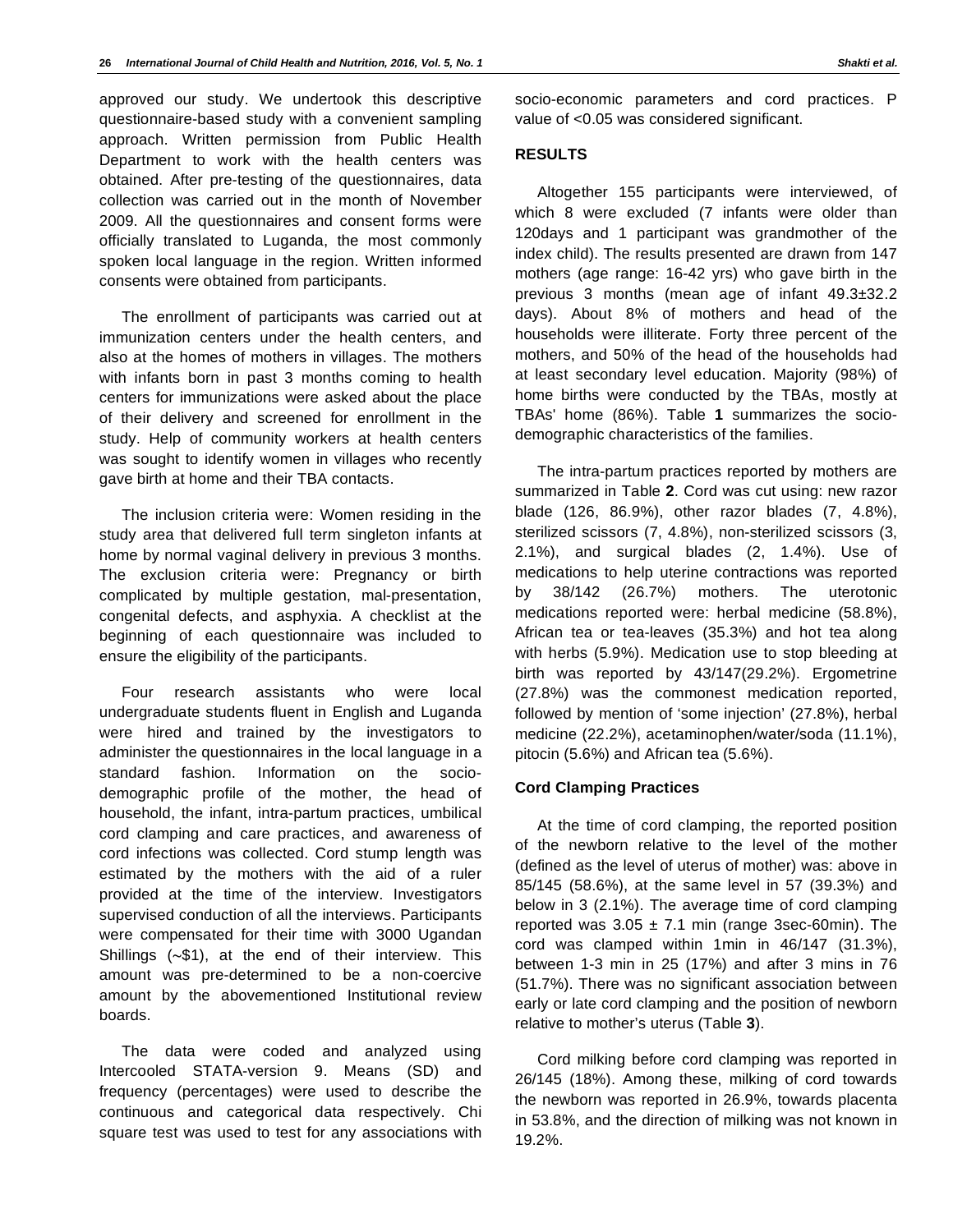approved our study. We undertook this descriptive questionnaire-based study with a convenient sampling approach. Written permission from Public Health Department to work with the health centers was obtained. After pre-testing of the questionnaires, data collection was carried out in the month of November 2009. All the questionnaires and consent forms were officially translated to Luganda, the most commonly spoken local language in the region. Written informed consents were obtained from participants.

The enrollment of participants was carried out at immunization centers under the health centers, and also at the homes of mothers in villages. The mothers with infants born in past 3 months coming to health centers for immunizations were asked about the place of their delivery and screened for enrollment in the study. Help of community workers at health centers was sought to identify women in villages who recently gave birth at home and their TBA contacts.

The inclusion criteria were: Women residing in the study area that delivered full term singleton infants at home by normal vaginal delivery in previous 3 months. The exclusion criteria were: Pregnancy or birth complicated by multiple gestation, mal-presentation, congenital defects, and asphyxia. A checklist at the beginning of each questionnaire was included to ensure the eligibility of the participants.

Four research assistants who were local undergraduate students fluent in English and Luganda were hired and trained by the investigators to administer the questionnaires in the local language in a standard fashion. Information on the sociodemographic profile of the mother, the head of household, the infant, intra-partum practices, umbilical cord clamping and care practices, and awareness of cord infections was collected. Cord stump length was estimated by the mothers with the aid of a ruler provided at the time of the interview. Investigators supervised conduction of all the interviews. Participants were compensated for their time with 3000 Ugandan Shillings  $(-\$1)$ , at the end of their interview. This amount was pre-determined to be a non-coercive amount by the abovementioned Institutional review boards.

The data were coded and analyzed using Intercooled STATA-version 9. Means (SD) and frequency (percentages) were used to describe the continuous and categorical data respectively. Chi square test was used to test for any associations with

socio-economic parameters and cord practices. P value of <0.05 was considered significant.

# **RESULTS**

Altogether 155 participants were interviewed, of which 8 were excluded (7 infants were older than 120days and 1 participant was grandmother of the index child). The results presented are drawn from 147 mothers (age range: 16-42 yrs) who gave birth in the previous 3 months (mean age of infant 49.3±32.2 days). About 8% of mothers and head of the households were illiterate. Forty three percent of the mothers, and 50% of the head of the households had at least secondary level education. Majority (98%) of home births were conducted by the TBAs, mostly at TBAs' home (86%). Table **1** summarizes the sociodemographic characteristics of the families.

The intra-partum practices reported by mothers are summarized in Table **2**. Cord was cut using: new razor blade (126, 86.9%), other razor blades (7, 4.8%), sterilized scissors (7, 4.8%), non-sterilized scissors (3, 2.1%), and surgical blades (2, 1.4%). Use of medications to help uterine contractions was reported by 38/142 (26.7%) mothers. The uterotonic medications reported were: herbal medicine (58.8%), African tea or tea-leaves (35.3%) and hot tea along with herbs (5.9%). Medication use to stop bleeding at birth was reported by 43/147(29.2%). Ergometrine (27.8%) was the commonest medication reported, followed by mention of 'some injection' (27.8%), herbal medicine (22.2%), acetaminophen/water/soda (11.1%), pitocin (5.6%) and African tea (5.6%).

## **Cord Clamping Practices**

At the time of cord clamping, the reported position of the newborn relative to the level of the mother (defined as the level of uterus of mother) was: above in 85/145 (58.6%), at the same level in 57 (39.3%) and below in 3 (2.1%). The average time of cord clamping reported was  $3.05 \pm 7.1$  min (range 3sec-60min). The cord was clamped within 1min in 46/147 (31.3%), between 1-3 min in 25 (17%) and after 3 mins in 76 (51.7%). There was no significant association between early or late cord clamping and the position of newborn relative to mother's uterus (Table **3**).

Cord milking before cord clamping was reported in 26/145 (18%). Among these, milking of cord towards the newborn was reported in 26.9%, towards placenta in 53.8%, and the direction of milking was not known in 19.2%.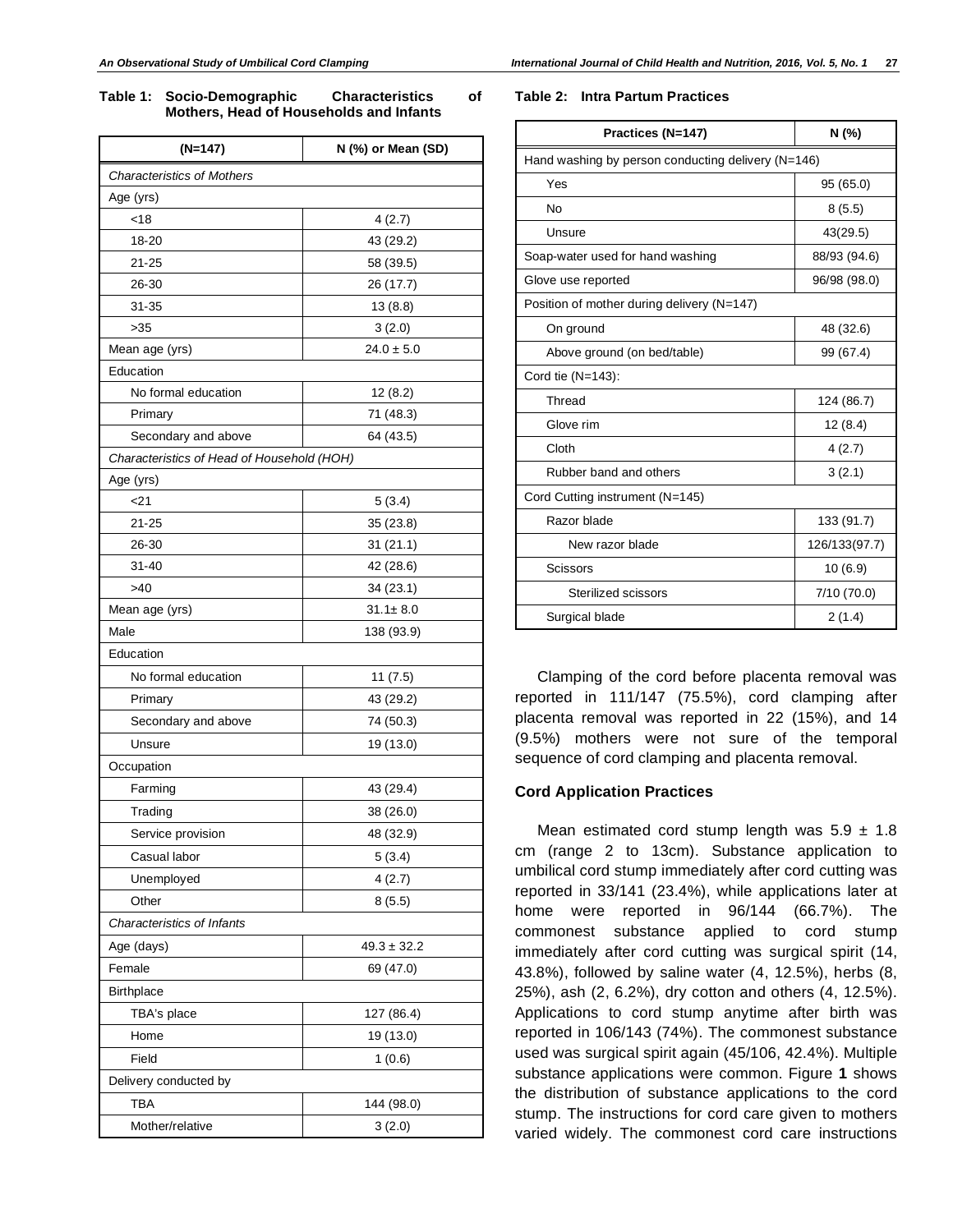**Table 1: Socio-Demographic Characteristics of Mothers, Head of Households and Infants** 

| $(N=147)$                                  | N (%) or Mean (SD) |  |  |  |
|--------------------------------------------|--------------------|--|--|--|
| <b>Characteristics of Mothers</b>          |                    |  |  |  |
| Age (yrs)                                  |                    |  |  |  |
| < 18                                       | 4(2.7)             |  |  |  |
| 18-20                                      | 43 (29.2)          |  |  |  |
| $21 - 25$                                  | 58 (39.5)          |  |  |  |
| 26-30                                      | 26 (17.7)          |  |  |  |
| $31 - 35$                                  | 13(8.8)            |  |  |  |
| >35                                        | 3(2.0)             |  |  |  |
| Mean age (yrs)                             | $24.0 \pm 5.0$     |  |  |  |
| Education                                  |                    |  |  |  |
| No formal education                        | 12(8.2)            |  |  |  |
| Primary                                    | 71 (48.3)          |  |  |  |
| Secondary and above                        | 64 (43.5)          |  |  |  |
| Characteristics of Head of Household (HOH) |                    |  |  |  |
| Age (yrs)                                  |                    |  |  |  |
| <21                                        | 5(3.4)             |  |  |  |
| $21 - 25$                                  | 35 (23.8)          |  |  |  |
| 26-30                                      | 31 (21.1)          |  |  |  |
| $31 - 40$                                  | 42 (28.6)          |  |  |  |
| >40                                        | 34 (23.1)          |  |  |  |
| Mean age (yrs)                             | $31.1 \pm 8.0$     |  |  |  |
| Male                                       | 138 (93.9)         |  |  |  |
| Education                                  |                    |  |  |  |
| No formal education                        | 11(7.5)            |  |  |  |
| Primary                                    | 43 (29.2)          |  |  |  |
| Secondary and above                        | 74 (50.3)          |  |  |  |
| Unsure                                     | 19 (13.0)          |  |  |  |
| Occupation                                 |                    |  |  |  |
| Farming                                    | 43 (29.4)          |  |  |  |
| Trading                                    | 38 (26.0)          |  |  |  |
| Service provision                          | 48 (32.9)          |  |  |  |
| Casual labor                               | 5(3.4)             |  |  |  |
| Unemployed                                 | 4(2.7)             |  |  |  |
| Other                                      | 8(5.5)             |  |  |  |
| Characteristics of Infants                 |                    |  |  |  |
| Age (days)                                 | $49.3 \pm 32.2$    |  |  |  |
| Female                                     | 69 (47.0)          |  |  |  |
| <b>Birthplace</b>                          |                    |  |  |  |
| TBA's place                                | 127 (86.4)         |  |  |  |
| Home                                       | 19 (13.0)          |  |  |  |
| Field                                      | 1(0.6)             |  |  |  |
| Delivery conducted by                      |                    |  |  |  |
| <b>TBA</b><br>144 (98.0)                   |                    |  |  |  |
| Mother/relative                            | 3(2.0)             |  |  |  |
|                                            |                    |  |  |  |

#### **Table 2: Intra Partum Practices**

| Practices (N=147)                                  | N (%)         |  |  |  |
|----------------------------------------------------|---------------|--|--|--|
| Hand washing by person conducting delivery (N=146) |               |  |  |  |
| Yes                                                | 95 (65.0)     |  |  |  |
| No                                                 | 8(5.5)        |  |  |  |
| Unsure                                             | 43(29.5)      |  |  |  |
| Soap-water used for hand washing                   | 88/93 (94.6)  |  |  |  |
| Glove use reported                                 | 96/98 (98.0)  |  |  |  |
| Position of mother during delivery (N=147)         |               |  |  |  |
| On ground                                          | 48 (32.6)     |  |  |  |
| Above ground (on bed/table)                        | 99 (67.4)     |  |  |  |
| Cord tie (N=143):                                  |               |  |  |  |
| Thread                                             | 124 (86.7)    |  |  |  |
| Glove rim                                          | 12(8.4)       |  |  |  |
| Cloth                                              | 4(2.7)        |  |  |  |
| Rubber band and others                             | 3(2.1)        |  |  |  |
| Cord Cutting instrument (N=145)                    |               |  |  |  |
| Razor blade                                        | 133 (91.7)    |  |  |  |
| New razor blade                                    | 126/133(97.7) |  |  |  |
| <b>Scissors</b>                                    | 10(6.9)       |  |  |  |
| Sterilized scissors                                | 7/10(70.0)    |  |  |  |
| Surgical blade                                     | 2(1.4)        |  |  |  |

Clamping of the cord before placenta removal was reported in 111/147 (75.5%), cord clamping after placenta removal was reported in 22 (15%), and 14 (9.5%) mothers were not sure of the temporal sequence of cord clamping and placenta removal.

#### **Cord Application Practices**

Mean estimated cord stump length was  $5.9 \pm 1.8$ cm (range 2 to 13cm). Substance application to umbilical cord stump immediately after cord cutting was reported in 33/141 (23.4%), while applications later at home were reported in 96/144 (66.7%). The commonest substance applied to cord stump immediately after cord cutting was surgical spirit (14, 43.8%), followed by saline water (4, 12.5%), herbs (8, 25%), ash (2, 6.2%), dry cotton and others (4, 12.5%). Applications to cord stump anytime after birth was reported in 106/143 (74%). The commonest substance used was surgical spirit again (45/106, 42.4%). Multiple substance applications were common. Figure **1** shows the distribution of substance applications to the cord stump. The instructions for cord care given to mothers varied widely. The commonest cord care instructions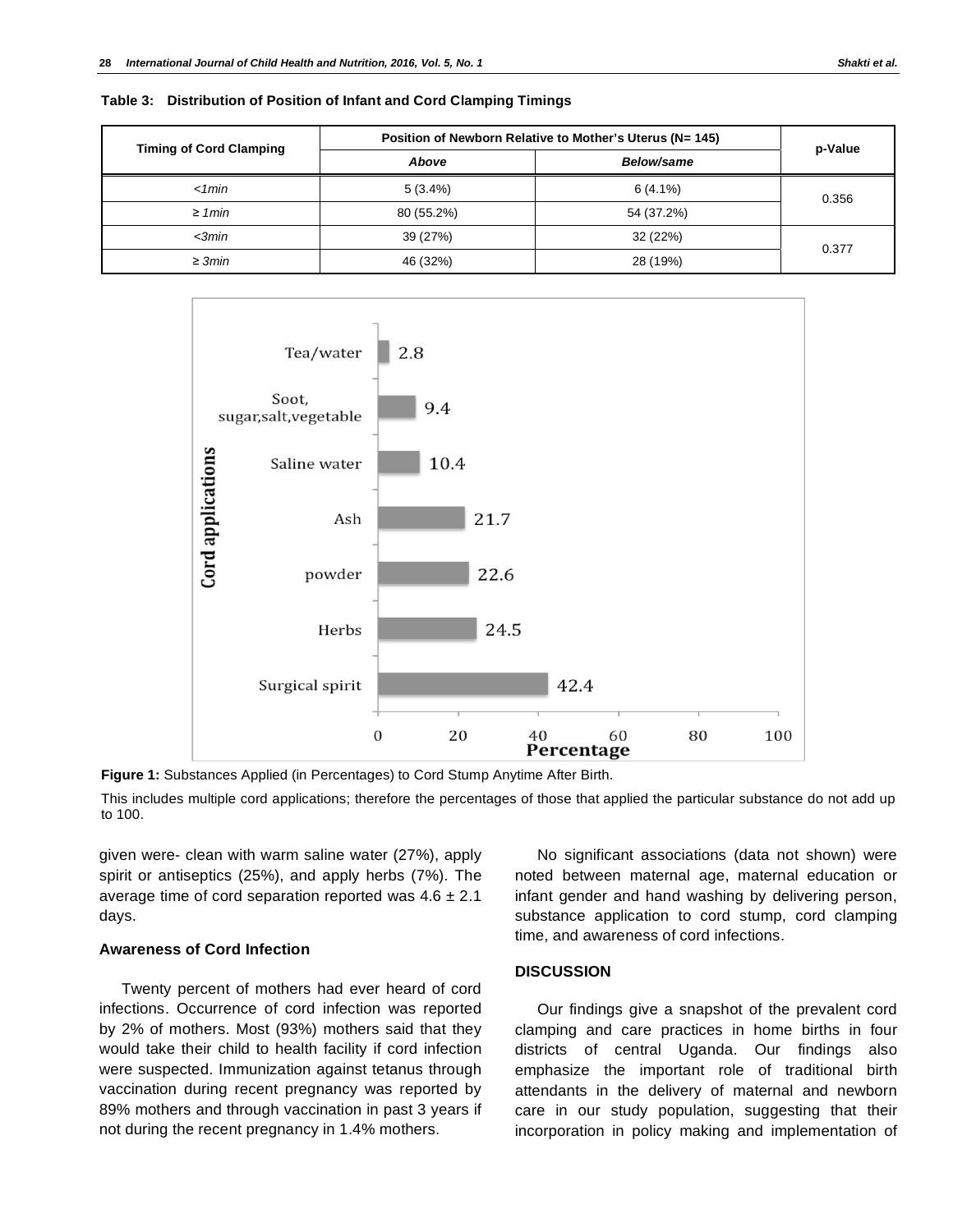| <b>Timing of Cord Clamping</b> | Position of Newborn Relative to Mother's Uterus (N= 145) |            |         |
|--------------------------------|----------------------------------------------------------|------------|---------|
|                                | Above                                                    | Below/same | p-Value |
| < 1 min                        | $5(3.4\%)$                                               | $6(4.1\%)$ | 0.356   |
| $\geq 1$ min                   | 80 (55.2%)                                               | 54 (37.2%) |         |
| $\leq$ 3 $min$                 | 39 (27%)                                                 | 32 (22%)   |         |
| $\geq 3min$                    | 46 (32%)                                                 | 28 (19%)   | 0.377   |

**Table 3: Distribution of Position of Infant and Cord Clamping Timings** 



**Figure 1:** Substances Applied (in Percentages) to Cord Stump Anytime After Birth.

This includes multiple cord applications; therefore the percentages of those that applied the particular substance do not add up to 100.

given were- clean with warm saline water (27%), apply spirit or antiseptics (25%), and apply herbs (7%). The average time of cord separation reported was  $4.6 \pm 2.1$ days.

# **Awareness of Cord Infection**

Twenty percent of mothers had ever heard of cord infections. Occurrence of cord infection was reported by 2% of mothers. Most (93%) mothers said that they would take their child to health facility if cord infection were suspected. Immunization against tetanus through vaccination during recent pregnancy was reported by 89% mothers and through vaccination in past 3 years if not during the recent pregnancy in 1.4% mothers.

No significant associations (data not shown) were noted between maternal age, maternal education or infant gender and hand washing by delivering person, substance application to cord stump, cord clamping time, and awareness of cord infections.

# **DISCUSSION**

Our findings give a snapshot of the prevalent cord clamping and care practices in home births in four districts of central Uganda. Our findings also emphasize the important role of traditional birth attendants in the delivery of maternal and newborn care in our study population, suggesting that their incorporation in policy making and implementation of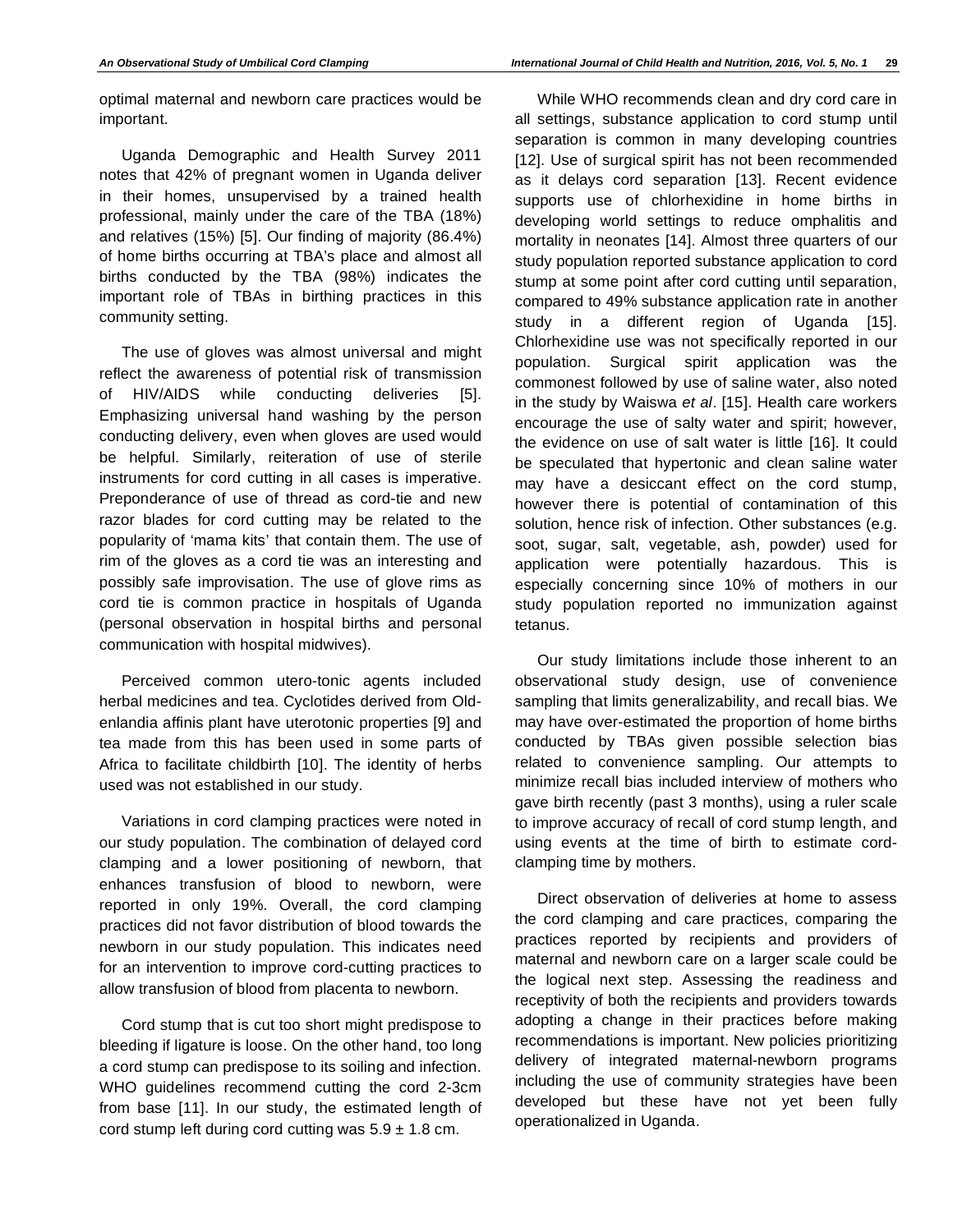optimal maternal and newborn care practices would be important.

Uganda Demographic and Health Survey 2011 notes that 42% of pregnant women in Uganda deliver in their homes, unsupervised by a trained health professional, mainly under the care of the TBA (18%) and relatives (15%) [5]. Our finding of majority (86.4%) of home births occurring at TBA's place and almost all births conducted by the TBA (98%) indicates the important role of TBAs in birthing practices in this community setting.

The use of gloves was almost universal and might reflect the awareness of potential risk of transmission of HIV/AIDS while conducting deliveries [5]. Emphasizing universal hand washing by the person conducting delivery, even when gloves are used would be helpful. Similarly, reiteration of use of sterile instruments for cord cutting in all cases is imperative. Preponderance of use of thread as cord-tie and new razor blades for cord cutting may be related to the popularity of 'mama kits' that contain them. The use of rim of the gloves as a cord tie was an interesting and possibly safe improvisation. The use of glove rims as cord tie is common practice in hospitals of Uganda (personal observation in hospital births and personal communication with hospital midwives).

Perceived common utero-tonic agents included herbal medicines and tea. Cyclotides derived from Oldenlandia affinis plant have uterotonic properties [9] and tea made from this has been used in some parts of Africa to facilitate childbirth [10]. The identity of herbs used was not established in our study.

Variations in cord clamping practices were noted in our study population. The combination of delayed cord clamping and a lower positioning of newborn, that enhances transfusion of blood to newborn, were reported in only 19%. Overall, the cord clamping practices did not favor distribution of blood towards the newborn in our study population. This indicates need for an intervention to improve cord-cutting practices to allow transfusion of blood from placenta to newborn.

Cord stump that is cut too short might predispose to bleeding if ligature is loose. On the other hand, too long a cord stump can predispose to its soiling and infection. WHO guidelines recommend cutting the cord 2-3cm from base [11]. In our study, the estimated length of cord stump left during cord cutting was  $5.9 \pm 1.8$  cm.

While WHO recommends clean and dry cord care in all settings, substance application to cord stump until separation is common in many developing countries [12]. Use of surgical spirit has not been recommended as it delays cord separation [13]. Recent evidence supports use of chlorhexidine in home births in developing world settings to reduce omphalitis and mortality in neonates [14]. Almost three quarters of our study population reported substance application to cord stump at some point after cord cutting until separation, compared to 49% substance application rate in another study in a different region of Uganda [15]. Chlorhexidine use was not specifically reported in our population. Surgical spirit application was the commonest followed by use of saline water, also noted in the study by Waiswa *et al*. [15]. Health care workers encourage the use of salty water and spirit; however, the evidence on use of salt water is little [16]. It could be speculated that hypertonic and clean saline water may have a desiccant effect on the cord stump, however there is potential of contamination of this solution, hence risk of infection. Other substances (e.g. soot, sugar, salt, vegetable, ash, powder) used for application were potentially hazardous. This is especially concerning since 10% of mothers in our study population reported no immunization against tetanus.

Our study limitations include those inherent to an observational study design, use of convenience sampling that limits generalizability, and recall bias. We may have over-estimated the proportion of home births conducted by TBAs given possible selection bias related to convenience sampling. Our attempts to minimize recall bias included interview of mothers who gave birth recently (past 3 months), using a ruler scale to improve accuracy of recall of cord stump length, and using events at the time of birth to estimate cordclamping time by mothers.

Direct observation of deliveries at home to assess the cord clamping and care practices, comparing the practices reported by recipients and providers of maternal and newborn care on a larger scale could be the logical next step. Assessing the readiness and receptivity of both the recipients and providers towards adopting a change in their practices before making recommendations is important. New policies prioritizing delivery of integrated maternal-newborn programs including the use of community strategies have been developed but these have not yet been fully operationalized in Uganda.